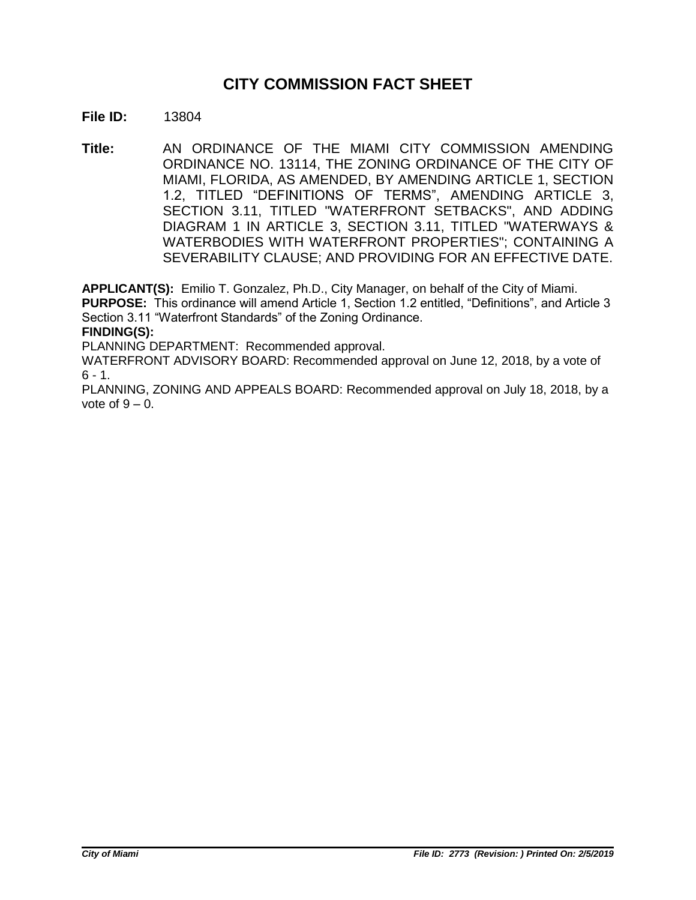# **CITY COMMISSION FACT SHEET**

### **File ID:** 13804

**Title:** AN ORDINANCE OF THE MIAMI CITY COMMISSION AMENDING ORDINANCE NO. 13114, THE ZONING ORDINANCE OF THE CITY OF MIAMI, FLORIDA, AS AMENDED, BY AMENDING ARTICLE 1, SECTION 1.2, TITLED "DEFINITIONS OF TERMS", AMENDING ARTICLE 3, SECTION 3.11, TITLED "WATERFRONT SETBACKS", AND ADDING DIAGRAM 1 IN ARTICLE 3, SECTION 3.11, TITLED "WATERWAYS & WATERBODIES WITH WATERFRONT PROPERTIES"; CONTAINING A SEVERABILITY CLAUSE; AND PROVIDING FOR AN EFFECTIVE DATE.

**APPLICANT(S):** Emilio T. Gonzalez, Ph.D., City Manager, on behalf of the City of Miami.

**PURPOSE:** This ordinance will amend Article 1, Section 1.2 entitled, "Definitions", and Article 3 Section 3.11 "Waterfront Standards" of the Zoning Ordinance.

**FINDING(S):**

PLANNING DEPARTMENT: Recommended approval.

WATERFRONT ADVISORY BOARD: Recommended approval on June 12, 2018, by a vote of  $6 - 1$ .

PLANNING, ZONING AND APPEALS BOARD: Recommended approval on July 18, 2018, by a vote of  $9 - 0$ .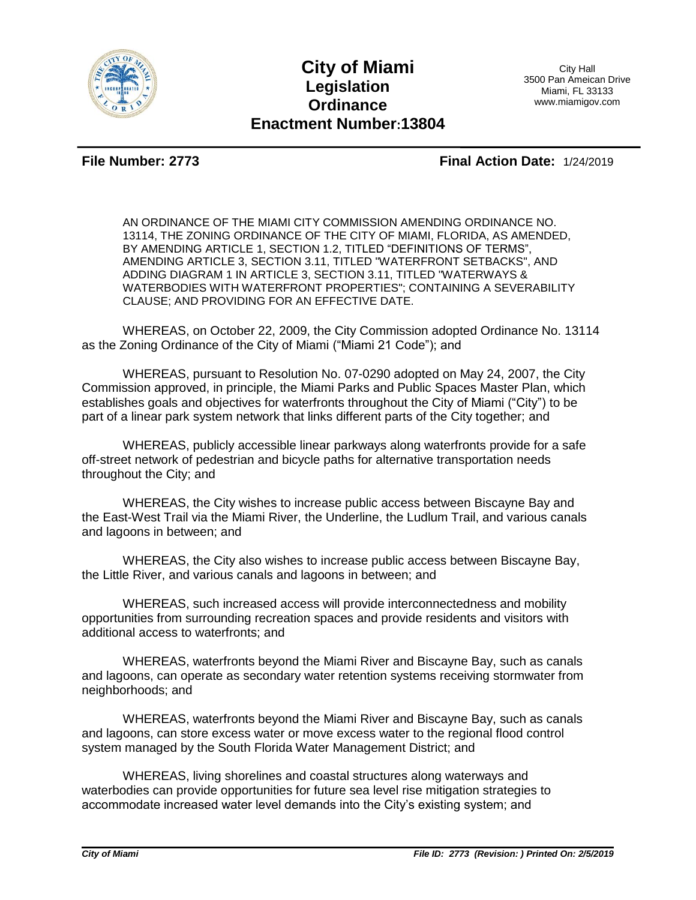

## **City of Miami Legislation Ordinance Enactment Number:13804**

City Hall 3500 Pan Ameican Drive Miami, FL 33133 www.miamigov.com

**File Number: 2773 Final Action Date:** 1/24/2019

AN ORDINANCE OF THE MIAMI CITY COMMISSION AMENDING ORDINANCE NO. 13114, THE ZONING ORDINANCE OF THE CITY OF MIAMI, FLORIDA, AS AMENDED, BY AMENDING ARTICLE 1, SECTION 1.2, TITLED "DEFINITIONS OF TERMS", AMENDING ARTICLE 3, SECTION 3.11, TITLED "WATERFRONT SETBACKS", AND ADDING DIAGRAM 1 IN ARTICLE 3, SECTION 3.11, TITLED "WATERWAYS & WATERBODIES WITH WATERFRONT PROPERTIES"; CONTAINING A SEVERABILITY CLAUSE; AND PROVIDING FOR AN EFFECTIVE DATE.

WHEREAS, on October 22, 2009, the City Commission adopted Ordinance No. 13114 as the Zoning Ordinance of the City of Miami ("Miami 21 Code"); and

WHEREAS, pursuant to Resolution No. 07-0290 adopted on May 24, 2007, the City Commission approved, in principle, the Miami Parks and Public Spaces Master Plan, which establishes goals and objectives for waterfronts throughout the City of Miami ("City") to be part of a linear park system network that links different parts of the City together; and

WHEREAS, publicly accessible linear parkways along waterfronts provide for a safe off-street network of pedestrian and bicycle paths for alternative transportation needs throughout the City; and

WHEREAS, the City wishes to increase public access between Biscayne Bay and the East-West Trail via the Miami River, the Underline, the Ludlum Trail, and various canals and lagoons in between; and

WHEREAS, the City also wishes to increase public access between Biscayne Bay, the Little River, and various canals and lagoons in between; and

WHEREAS, such increased access will provide interconnectedness and mobility opportunities from surrounding recreation spaces and provide residents and visitors with additional access to waterfronts; and

WHEREAS, waterfronts beyond the Miami River and Biscayne Bay, such as canals and lagoons, can operate as secondary water retention systems receiving stormwater from neighborhoods; and

WHEREAS, waterfronts beyond the Miami River and Biscayne Bay, such as canals and lagoons, can store excess water or move excess water to the regional flood control system managed by the South Florida Water Management District; and

WHEREAS, living shorelines and coastal structures along waterways and waterbodies can provide opportunities for future sea level rise mitigation strategies to accommodate increased water level demands into the City's existing system; and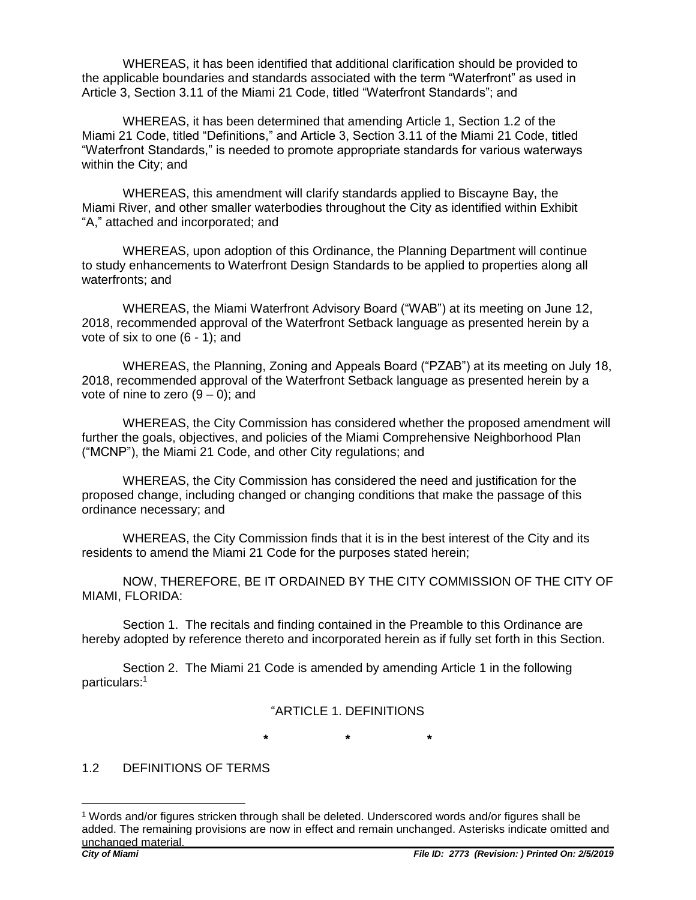WHEREAS, it has been identified that additional clarification should be provided to the applicable boundaries and standards associated with the term "Waterfront" as used in Article 3, Section 3.11 of the Miami 21 Code, titled "Waterfront Standards"; and

WHEREAS, it has been determined that amending Article 1, Section 1.2 of the Miami 21 Code, titled "Definitions," and Article 3, Section 3.11 of the Miami 21 Code, titled "Waterfront Standards," is needed to promote appropriate standards for various waterways within the City; and

WHEREAS, this amendment will clarify standards applied to Biscayne Bay, the Miami River, and other smaller waterbodies throughout the City as identified within Exhibit "A," attached and incorporated; and

WHEREAS, upon adoption of this Ordinance, the Planning Department will continue to study enhancements to Waterfront Design Standards to be applied to properties along all waterfronts; and

WHEREAS, the Miami Waterfront Advisory Board ("WAB") at its meeting on June 12, 2018, recommended approval of the Waterfront Setback language as presented herein by a vote of six to one (6 - 1); and

WHEREAS, the Planning, Zoning and Appeals Board ("PZAB") at its meeting on July 18, 2018, recommended approval of the Waterfront Setback language as presented herein by a vote of nine to zero  $(9 - 0)$ ; and

WHEREAS, the City Commission has considered whether the proposed amendment will further the goals, objectives, and policies of the Miami Comprehensive Neighborhood Plan ("MCNP"), the Miami 21 Code, and other City regulations; and

WHEREAS, the City Commission has considered the need and justification for the proposed change, including changed or changing conditions that make the passage of this ordinance necessary; and

WHEREAS, the City Commission finds that it is in the best interest of the City and its residents to amend the Miami 21 Code for the purposes stated herein;

NOW, THEREFORE, BE IT ORDAINED BY THE CITY COMMISSION OF THE CITY OF MIAMI, FLORIDA:

Section 1. The recitals and finding contained in the Preamble to this Ordinance are hereby adopted by reference thereto and incorporated herein as if fully set forth in this Section.

Section 2. The Miami 21 Code is amended by amending Article 1 in the following particulars:<sup>1</sup>

#### "ARTICLE 1. DEFINITIONS

**\* \* \***

#### 1.2 DEFINITIONS OF TERMS

 $\overline{a}$ 

<sup>1</sup> Words and/or figures stricken through shall be deleted. Underscored words and/or figures shall be added. The remaining provisions are now in effect and remain unchanged. Asterisks indicate omitted and unchanged material.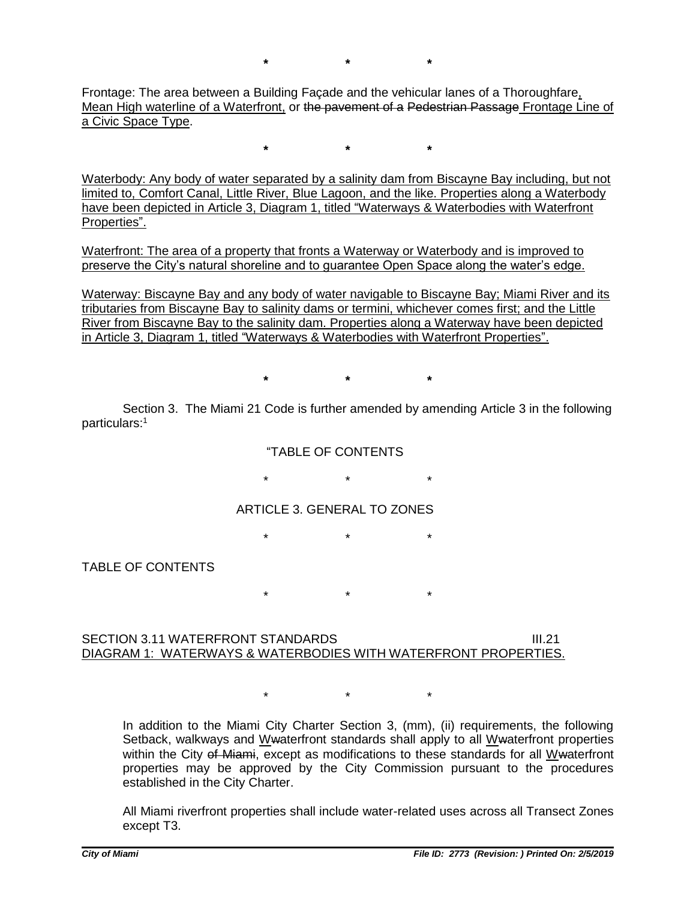**\* \* \***

Frontage: The area between a Building Façade and the vehicular lanes of a Thoroughfare, Mean High waterline of a Waterfront, or the pavement of a Pedestrian Passage Frontage Line of a Civic Space Type.

**\* \* \***

Waterbody: Any body of water separated by a salinity dam from Biscayne Bay including, but not limited to, Comfort Canal, Little River, Blue Lagoon, and the like. Properties along a Waterbody have been depicted in Article 3, Diagram 1, titled "Waterways & Waterbodies with Waterfront Properties".

Waterfront: The area of a property that fronts a Waterway or Waterbody and is improved to preserve the City's natural shoreline and to guarantee Open Space along the water's edge.

Waterway: Biscayne Bay and any body of water navigable to Biscayne Bay; Miami River and its tributaries from Biscayne Bay to salinity dams or termini, whichever comes first; and the Little River from Biscayne Bay to the salinity dam. Properties along a Waterway have been depicted in Article 3, Diagram 1, titled "Waterways & Waterbodies with Waterfront Properties".

**\* \* \***

Section 3. The Miami 21 Code is further amended by amending Article 3 in the following particulars:<sup>1</sup>

"TABLE OF CONTENTS

 $\star$  \* \* \*

ARTICLE 3. GENERAL TO ZONES

\* \* \*

TABLE OF CONTENTS

 $\star$  \* \* \*

#### SECTION 3.11 WATERFRONT STANDARDS III.21 DIAGRAM 1: WATERWAYS & WATERBODIES WITH WATERFRONT PROPERTIES.

 $\star$  \* \* \*

In addition to the Miami City Charter Section 3, (mm), (ii) requirements, the following Setback, walkways and Wwaterfront standards shall apply to all Wwaterfront properties within the City of Miami, except as modifications to these standards for all Wwaterfront properties may be approved by the City Commission pursuant to the procedures established in the City Charter.

All Miami riverfront properties shall include water-related uses across all Transect Zones except T3.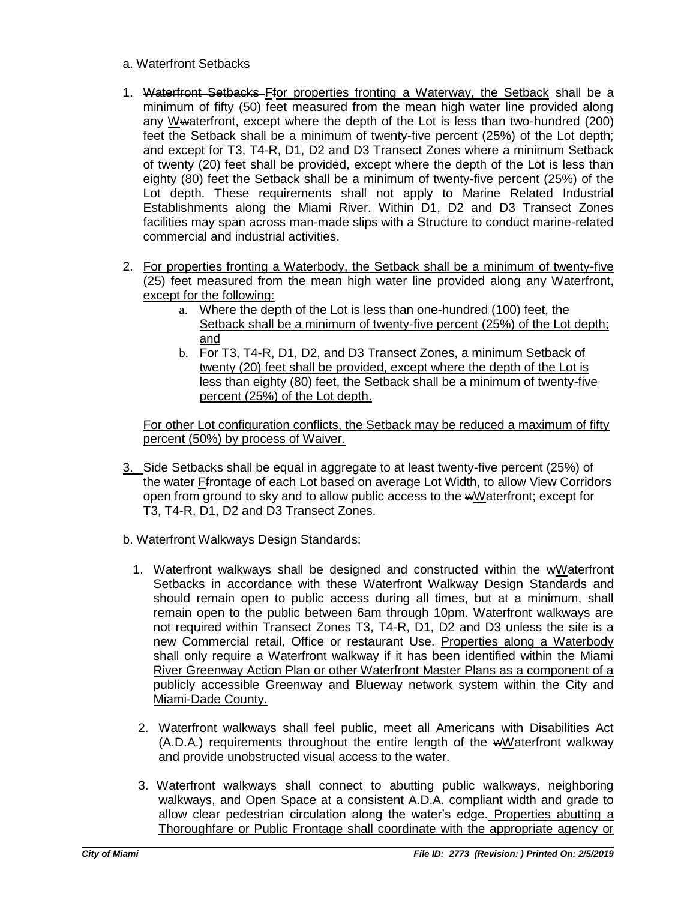#### a. Waterfront Setbacks

- 1. Waterfront Setbacks Ffor properties fronting a Waterway, the Setback shall be a minimum of fifty (50) feet measured from the mean high water line provided along any Wwaterfront, except where the depth of the Lot is less than two-hundred (200) feet the Setback shall be a minimum of twenty-five percent (25%) of the Lot depth; and except for T3, T4-R, D1, D2 and D3 Transect Zones where a minimum Setback of twenty (20) feet shall be provided, except where the depth of the Lot is less than eighty (80) feet the Setback shall be a minimum of twenty-five percent (25%) of the Lot depth. These requirements shall not apply to Marine Related Industrial Establishments along the Miami River. Within D1, D2 and D3 Transect Zones facilities may span across man-made slips with a Structure to conduct marine-related commercial and industrial activities.
- 2. For properties fronting a Waterbody, the Setback shall be a minimum of twenty-five (25) feet measured from the mean high water line provided along any Waterfront, except for the following:
	- a. Where the depth of the Lot is less than one-hundred (100) feet, the Setback shall be a minimum of twenty-five percent (25%) of the Lot depth; and
	- b. For T3, T4-R, D1, D2, and D3 Transect Zones, a minimum Setback of twenty (20) feet shall be provided, except where the depth of the Lot is less than eighty (80) feet, the Setback shall be a minimum of twenty-five percent (25%) of the Lot depth.

For other Lot configuration conflicts, the Setback may be reduced a maximum of fifty percent (50%) by process of Waiver.

- 3. Side Setbacks shall be equal in aggregate to at least twenty-five percent (25%) of the water Ffrontage of each Lot based on average Lot Width, to allow View Corridors open from ground to sky and to allow public access to the wWaterfront; except for T3, T4-R, D1, D2 and D3 Transect Zones.
- b. Waterfront Walkways Design Standards:
	- 1. Waterfront walkways shall be designed and constructed within the wWaterfront Setbacks in accordance with these Waterfront Walkway Design Standards and should remain open to public access during all times, but at a minimum, shall remain open to the public between 6am through 10pm. Waterfront walkways are not required within Transect Zones T3, T4-R, D1, D2 and D3 unless the site is a new Commercial retail, Office or restaurant Use. Properties along a Waterbody shall only require a Waterfront walkway if it has been identified within the Miami River Greenway Action Plan or other Waterfront Master Plans as a component of a publicly accessible Greenway and Blueway network system within the City and Miami-Dade County.
	- 2. Waterfront walkways shall feel public, meet all Americans with Disabilities Act (A.D.A.) requirements throughout the entire length of the wWaterfront walkway and provide unobstructed visual access to the water.
	- 3. Waterfront walkways shall connect to abutting public walkways, neighboring walkways, and Open Space at a consistent A.D.A. compliant width and grade to allow clear pedestrian circulation along the water's edge. Properties abutting a Thoroughfare or Public Frontage shall coordinate with the appropriate agency or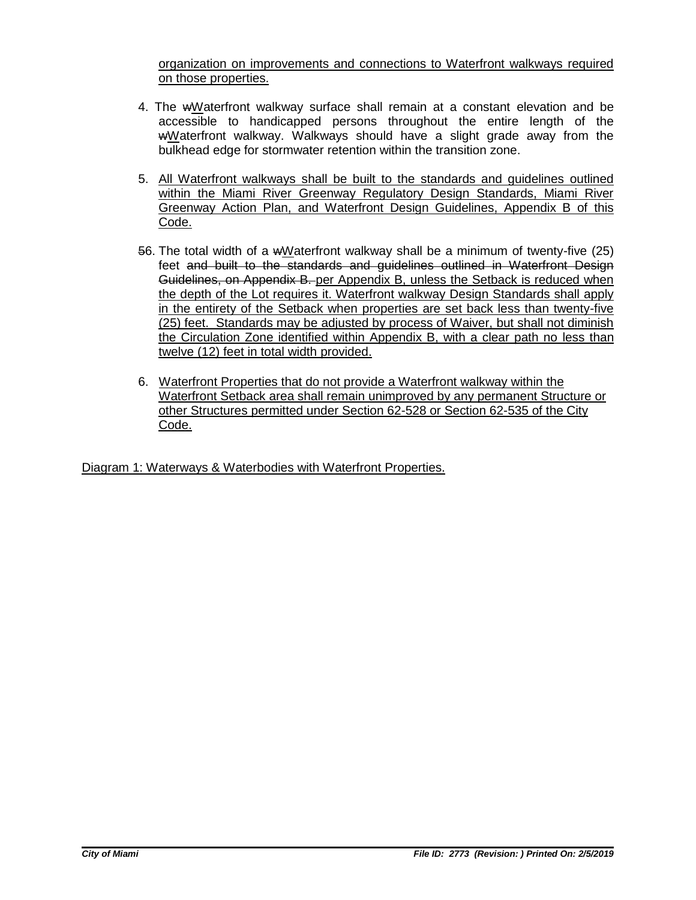organization on improvements and connections to Waterfront walkways required on those properties.

- 4. The wWaterfront walkway surface shall remain at a constant elevation and be accessible to handicapped persons throughout the entire length of the wWaterfront walkway. Walkways should have a slight grade away from the bulkhead edge for stormwater retention within the transition zone.
- 5. All Waterfront walkways shall be built to the standards and guidelines outlined within the Miami River Greenway Regulatory Design Standards, Miami River Greenway Action Plan, and Waterfront Design Guidelines, Appendix B of this Code.
- 56. The total width of a wWaterfront walkway shall be a minimum of twenty-five (25) feet and built to the standards and guidelines outlined in Waterfront Design Guidelines, on Appendix B. per Appendix B, unless the Setback is reduced when the depth of the Lot requires it. Waterfront walkway Design Standards shall apply in the entirety of the Setback when properties are set back less than twenty-five (25) feet. Standards may be adjusted by process of Waiver, but shall not diminish the Circulation Zone identified within Appendix B, with a clear path no less than twelve (12) feet in total width provided.
- 6. Waterfront Properties that do not provide a Waterfront walkway within the Waterfront Setback area shall remain unimproved by any permanent Structure or other Structures permitted under Section 62-528 or Section 62-535 of the City Code.

Diagram 1: Waterways & Waterbodies with Waterfront Properties.